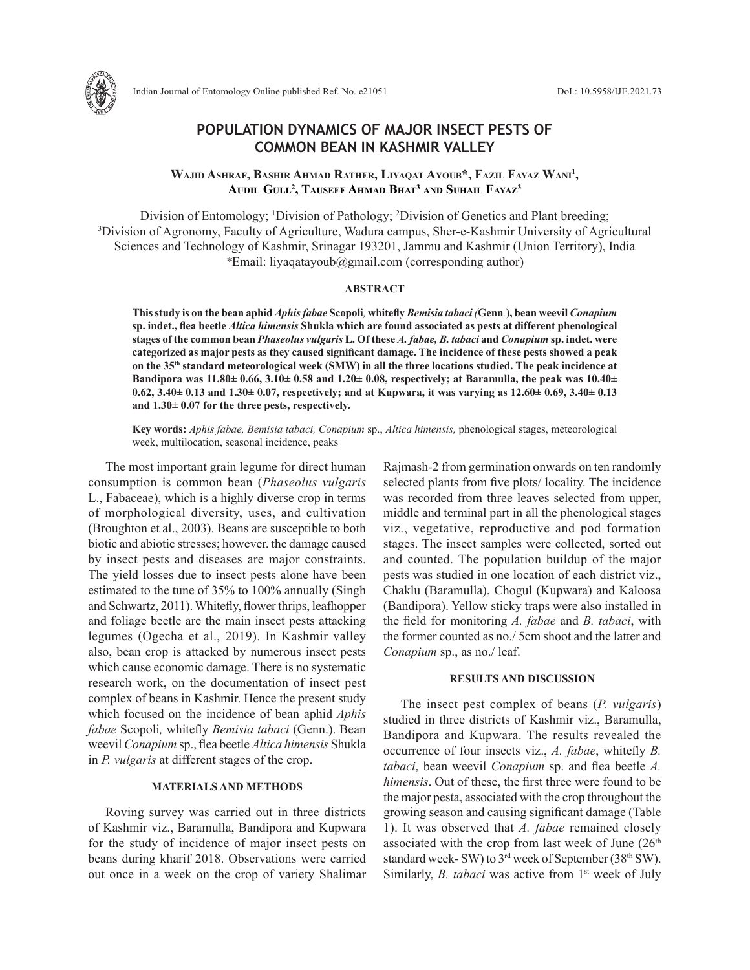

# **POPULATION DYNAMICS OF MAJOR INSECT PESTS OF COMMON BEAN IN KASHMIR VALLEY**

## **Wajid Ashraf, Bashir Ahmad Rather, Liyaqat Ayoub\*, Fazil Fayaz Wani1 , Audil Gull2 , Tauseef Ahmad Bhat3 and Suhail Fayaz3**

Division of Entomology; <sup>1</sup>Division of Pathology; <sup>2</sup>Division of Genetics and Plant breeding;<br><sup>3</sup>Division of Agronomy, Faculty of Agriculture, Wadura campus, Sher-e-Kashmir University of Agri <sup>3</sup>Division of Agronomy, Faculty of Agriculture, Wadura campus, Sher-e-Kashmir University of Agricultural Sciences and Technology of Kashmir, Srinagar 193201, Jammu and Kashmir (Union Territory), India *\**Email: liyaqatayoub@gmail.com (corresponding author)

## **ABSTRACT**

**This study is on the bean aphid** *Aphis fabae* **Scopoli***,* **whitefly** *Bemisia tabaci (***Genn***.***), bean weevil** *Conapium*  **sp. indet., flea beetle** *Altica himensis* **Shukla which are found associated as pests at different phenological stages of the common bean** *Phaseolus vulgaris* **L. Of these** *A. fabae, B. tabaci* **and** *Conapium* **sp. indet. were categorized as major pests as they caused significant damage. The incidence of these pests showed a peak on the 35th standard meteorological week (SMW) in all the three locations studied. The peak incidence at Bandipora was 11.80± 0.66, 3.10± 0.58 and 1.20± 0.08, respectively; at Baramulla, the peak was 10.40± 0.62, 3.40± 0.13 and 1.30± 0.07, respectively; and at Kupwara, it was varying as 12.60± 0.69, 3.40± 0.13 and 1.30± 0.07 for the three pests, respectively.**

**Key words:** *Aphis fabae, Bemisia tabaci, Conapium* sp., *Altica himensis,* phenological stages, meteorological week, multilocation, seasonal incidence, peaks

The most important grain legume for direct human consumption is common bean (*Phaseolus vulgaris* L., Fabaceae), which is a highly diverse crop in terms of morphological diversity, uses, and cultivation (Broughton et al., 2003). Beans are susceptible to both biotic and abiotic stresses; however. the damage caused by insect pests and diseases are major constraints. The yield losses due to insect pests alone have been estimated to the tune of 35% to 100% annually (Singh and Schwartz, 2011). Whitefly, flower thrips, leafhopper and foliage beetle are the main insect pests attacking legumes (Ogecha et al., 2019). In Kashmir valley also, bean crop is attacked by numerous insect pests which cause economic damage. There is no systematic research work, on the documentation of insect pest complex of beans in Kashmir. Hence the present study which focused on the incidence of bean aphid *Aphis fabae* Scopoli*,* whitefly *Bemisia tabaci* (Genn.). Bean weevil *Conapium* sp., flea beetle *Altica himensis* Shukla in *P. vulgaris* at different stages of the crop.

## **MATERIALS AND METHODS**

Roving survey was carried out in three districts of Kashmir viz., Baramulla, Bandipora and Kupwara for the study of incidence of major insect pests on beans during kharif 2018. Observations were carried out once in a week on the crop of variety Shalimar Rajmash-2 from germination onwards on ten randomly selected plants from five plots/ locality. The incidence was recorded from three leaves selected from upper, middle and terminal part in all the phenological stages viz., vegetative, reproductive and pod formation stages. The insect samples were collected, sorted out and counted. The population buildup of the major pests was studied in one location of each district viz., Chaklu (Baramulla), Chogul (Kupwara) and Kaloosa (Bandipora). Yellow sticky traps were also installed in the field for monitoring *A. fabae* and *B. tabaci*, with the former counted as no./ 5cm shoot and the latter and *Conapium* sp., as no./ leaf.

### **RESULTS AND DISCUSSION**

The insect pest complex of beans (*P. vulgaris*) studied in three districts of Kashmir viz., Baramulla, Bandipora and Kupwara. The results revealed the occurrence of four insects viz., *A. fabae*, whitefly *B. tabaci*, bean weevil *Conapium* sp. and flea beetle *A. himensis*. Out of these, the first three were found to be the major pesta, associated with the crop throughout the growing season and causing significant damage (Table 1). It was observed that *A. fabae* remained closely associated with the crop from last week of June  $(26<sup>th</sup>$ standard week- SW) to 3<sup>rd</sup> week of September (38<sup>th</sup> SW). Similarly, *B. tabaci* was active from 1<sup>st</sup> week of July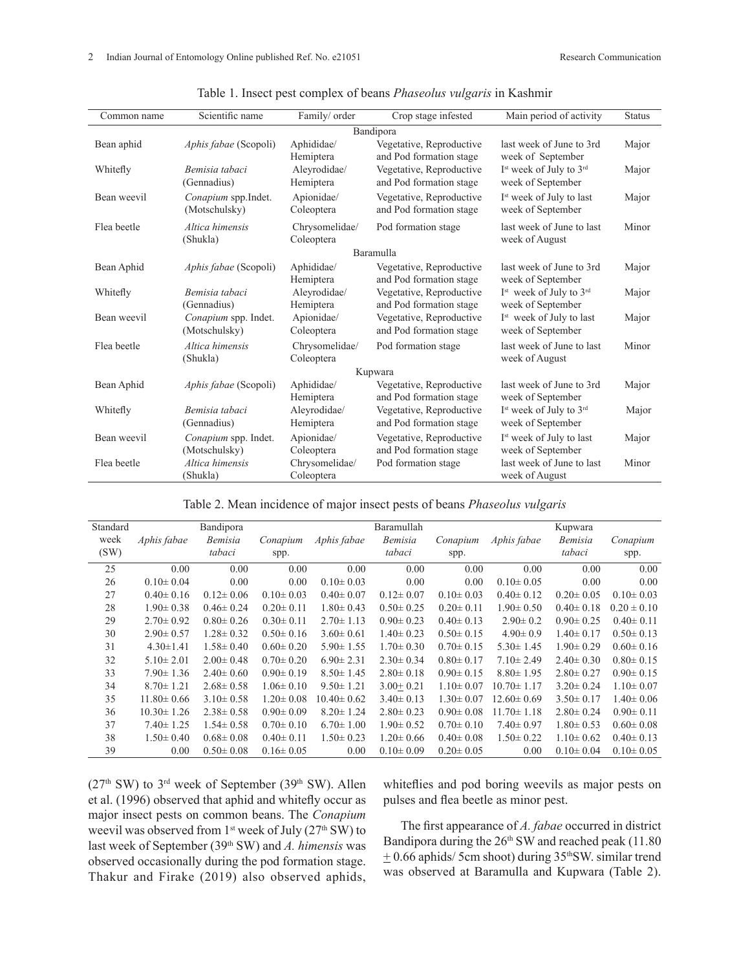| Common name | Scientific name                       | Family/ order                | Crop stage infested                                 | Main period of activity                                              | <b>Status</b> |  |  |  |  |
|-------------|---------------------------------------|------------------------------|-----------------------------------------------------|----------------------------------------------------------------------|---------------|--|--|--|--|
| Bandipora   |                                       |                              |                                                     |                                                                      |               |  |  |  |  |
| Bean aphid  | <i>Aphis fabae</i> (Scopoli)          | Aphididae/<br>Hemiptera      | Vegetative, Reproductive<br>and Pod formation stage | last week of June to 3rd<br>week of September                        | Major         |  |  |  |  |
| Whitefly    | Bemisia tabaci<br>(Gennadius)         | Aleyrodidae/<br>Hemiptera    | Vegetative, Reproductive<br>and Pod formation stage | I <sup>st</sup> week of July to 3 <sup>rd</sup><br>week of September | Major         |  |  |  |  |
| Bean weevil | Conapium spp.Indet.<br>(Motschulsky)  | Apionidae/<br>Coleoptera     | Vegetative, Reproductive<br>and Pod formation stage | I <sup>st</sup> week of July to last<br>week of September            | Major         |  |  |  |  |
| Flea beetle | Altica himensis<br>(Shukla)           | Chrysomelidae/<br>Coleoptera | Pod formation stage                                 | last week of June to last<br>week of August                          | Minor         |  |  |  |  |
| Baramulla   |                                       |                              |                                                     |                                                                      |               |  |  |  |  |
| Bean Aphid  | Aphis fabae (Scopoli)                 | Aphididae/<br>Hemiptera      | Vegetative, Reproductive<br>and Pod formation stage | last week of June to 3rd<br>week of September                        | Major         |  |  |  |  |
| Whitefly    | Bemisia tabaci<br>(Gennadius)         | Aleyrodidae/<br>Hemiptera    | Vegetative, Reproductive<br>and Pod formation stage | I <sup>st</sup> week of July to 3 <sup>rd</sup><br>week of September | Major         |  |  |  |  |
| Bean weevil | Conapium spp. Indet.<br>(Motschulsky) | Apionidae/<br>Coleoptera     | Vegetative, Reproductive<br>and Pod formation stage | I <sup>st</sup> week of July to last<br>week of September            | Major         |  |  |  |  |
| Flea beetle | Altica himensis<br>(Shukla)           | Chrysomelidae/<br>Coleoptera | Pod formation stage                                 | last week of June to last<br>week of August                          | Minor         |  |  |  |  |
|             |                                       |                              | Kupwara                                             |                                                                      |               |  |  |  |  |
| Bean Aphid  | Aphis fabae (Scopoli)                 | Aphididae/<br>Hemiptera      | Vegetative, Reproductive<br>and Pod formation stage | last week of June to 3rd<br>week of September                        | Major         |  |  |  |  |
| Whitefly    | Bemisia tabaci<br>(Gennadius)         | Aleyrodidae/<br>Hemiptera    | Vegetative, Reproductive<br>and Pod formation stage | I <sup>st</sup> week of July to 3 <sup>rd</sup><br>week of September | Major         |  |  |  |  |
| Bean weevil | Conapium spp. Indet.<br>(Motschulsky) | Apionidae/<br>Coleoptera     | Vegetative, Reproductive<br>and Pod formation stage | I <sup>st</sup> week of July to last<br>week of September            | Major         |  |  |  |  |
| Flea beetle | Altica himensis<br>(Shukla)           | Chrysomelidae/<br>Coleoptera | Pod formation stage                                 | last week of June to last<br>week of August                          | Minor         |  |  |  |  |

|  |  |  | Table 1. Insect pest complex of beans <i>Phaseolus vulgaris</i> in Kashmir |  |  |
|--|--|--|----------------------------------------------------------------------------|--|--|
|--|--|--|----------------------------------------------------------------------------|--|--|

Table 2. Mean incidence of major insect pests of beans *Phaseolus vulgaris* 

| Standard |                  | Bandipora       |                 |                  | Baramullah      |                 |                  | Kupwara         |                 |
|----------|------------------|-----------------|-----------------|------------------|-----------------|-----------------|------------------|-----------------|-----------------|
| week     | Aphis fabae      | Bemisia         | Conapium        | Aphis fabae      | Bemisia         | Conapium        | Aphis fabae      | Bemisia         | Conapium        |
| (SW)     |                  | tabaci          | spp.            |                  | tabaci          | spp.            |                  | tabaci          | spp.            |
| 25       | 0.00             | 0.00            | 0.00            | 0.00             | 0.00            | 0.00            | 0.00             | 0.00            | 0.00            |
| 26       | $0.10 \pm 0.04$  | 0.00            | 0.00            | $0.10 \pm 0.03$  | 0.00            | 0.00            | $0.10 \pm 0.05$  | 0.00            | 0.00            |
| 27       | $0.40 \pm 0.16$  | $0.12 \pm 0.06$ | $0.10 \pm 0.03$ | $0.40 \pm 0.07$  | $0.12 \pm 0.07$ | $0.10 \pm 0.03$ | $0.40 \pm 0.12$  | $0.20 \pm 0.05$ | $0.10 \pm 0.03$ |
| 28       | $1.90 \pm 0.38$  | $0.46 \pm 0.24$ | $0.20 \pm 0.11$ | $1.80 \pm 0.43$  | $0.50 \pm 0.25$ | $0.20 \pm 0.11$ | $1.90 \pm 0.50$  | $0.40 \pm 0.18$ | $0.20 \pm 0.10$ |
| 29       | $2.70 \pm 0.92$  | $0.80 \pm 0.26$ | $0.30 \pm 0.11$ | $2.70 \pm 1.13$  | $0.90 \pm 0.23$ | $0.40 \pm 0.13$ | $2.90 \pm 0.2$   | $0.90 \pm 0.25$ | $0.40 \pm 0.11$ |
| 30       | $2.90 \pm 0.57$  | $1.28 \pm 0.32$ | $0.50 \pm 0.16$ | $3.60 \pm 0.61$  | $1.40 \pm 0.23$ | $0.50 \pm 0.15$ | $4.90 \pm 0.9$   | $1.40 \pm 0.17$ | $0.50 \pm 0.13$ |
| 31       | $4.30 \pm 1.41$  | $1.58 \pm 0.40$ | $0.60 \pm 0.20$ | $5.90 \pm 1.55$  | $1.70 \pm 0.30$ | $0.70 \pm 0.15$ | $5.30 \pm 1.45$  | $1.90 \pm 0.29$ | $0.60 \pm 0.16$ |
| 32       | $5.10 \pm 2.01$  | $2.00 \pm 0.48$ | $0.70 \pm 0.20$ | $6.90 \pm 2.31$  | $2.30 \pm 0.34$ | $0.80 \pm 0.17$ | $7.10 \pm 2.49$  | $2.40 \pm 0.30$ | $0.80 \pm 0.15$ |
| 33       | $7.90 \pm 1.36$  | $2.40 \pm 0.60$ | $0.90 \pm 0.19$ | $8.50 \pm 1.45$  | $2.80 \pm 0.18$ | $0.90 \pm 0.15$ | $8.80 \pm 1.95$  | $2.80 \pm 0.27$ | $0.90 \pm 0.15$ |
| 34       | $8.70 \pm 1.21$  | $2.68 \pm 0.58$ | $1.06 \pm 0.10$ | $9.50 \pm 1.21$  | $3.00 + 0.21$   | $1.10 \pm 0.07$ | $10.70 \pm 1.17$ | $3.20 \pm 0.24$ | $1.10 \pm 0.07$ |
| 35       | $11.80 \pm 0.66$ | $3.10 \pm 0.58$ | $1.20 \pm 0.08$ | $10.40 \pm 0.62$ | $3.40 \pm 0.13$ | $1.30 \pm 0.07$ | $12.60 \pm 0.69$ | $3.50 \pm 0.17$ | $1.40 \pm 0.06$ |
| 36       | $10.30 \pm 1.26$ | $2.38 \pm 0.58$ | $0.90 \pm 0.09$ | $8.20 \pm 1.24$  | $2.80 \pm 0.23$ | $0.90 \pm 0.08$ | $11.70 \pm 1.18$ | $2.80 \pm 0.24$ | $0.90 \pm 0.11$ |
| 37       | $7.40 \pm 1.25$  | $1.54 \pm 0.58$ | $0.70 \pm 0.10$ | $6.70 \pm 1.00$  | $1.90 \pm 0.52$ | $0.70 \pm 0.10$ | $7.40 \pm 0.97$  | $1.80 \pm 0.53$ | $0.60 \pm 0.08$ |
| 38       | $1.50 \pm 0.40$  | $0.68 \pm 0.08$ | $0.40 \pm 0.11$ | $1.50 \pm 0.23$  | $1.20 \pm 0.66$ | $0.40 \pm 0.08$ | $1.50 \pm 0.22$  | $1.10 \pm 0.62$ | $0.40 \pm 0.13$ |
| 39       | 0.00             | $0.50 \pm 0.08$ | $0.16 \pm 0.05$ | 0.00             | $0.10 \pm 0.09$ | $0.20 \pm 0.05$ | 0.00             | $0.10 \pm 0.04$ | $0.10 \pm 0.05$ |

 $(27<sup>th</sup>$  SW) to  $3<sup>rd</sup>$  week of September (39<sup>th</sup> SW). Allen et al. (1996) observed that aphid and whitefly occur as major insect pests on common beans. The *Conapium* weevil was observed from 1<sup>st</sup> week of July (27<sup>th</sup> SW) to last week of September (39th SW) and *A. himensis* was observed occasionally during the pod formation stage. Thakur and Firake (2019) also observed aphids,

whiteflies and pod boring weevils as major pests on pulses and flea beetle as minor pest.

The first appearance of *A. fabae* occurred in district Bandipora during the 26<sup>th</sup> SW and reached peak (11.80)  $\pm$  0.66 aphids/ 5cm shoot) during 35<sup>th</sup>SW. similar trend was observed at Baramulla and Kupwara (Table 2).